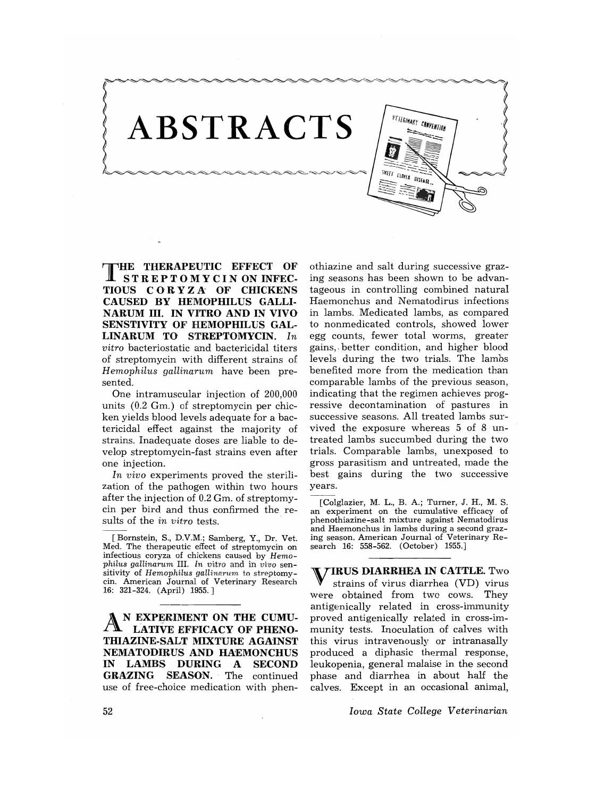

THE **THERAPEUTIC EFFECT OF STREPTOMYCIN ON INFEC-TIOUS COR Y Z A' OF CHICKENS CAUSED BY HEMOPHILUS GALLI-NARUM III. IN VITRO AND IN VIVO SENSTIVITY OF HEMOPHILUS GAL-LINARUM TO' STREPTOMYCIN.** *In vitro* bacteriostatic and bactericidal titers of streptomycin with different strains of *Hemophilus gallinarum* have been presented.

One intramuscular injection of 200,000 units (0.2 Gm.) of streptomycin per chicken yields blood levels adequate for a bactericidal effect against the majority of strains. Inadequate doses are liable to develop streptomycin-fast strains even after one injection.

*In vivo* experiments proved the sterilization of the pathogen within two hours after the injection of 0.2 Gm. of streptomycin per bird and thus confirmed the results of the *in vitro* tests.

[Bornstein, S., D.V.M.; Samberg, Y., Dr. Vet. Med. The therapeutic effect of streptomycin on infectious coryza of chickens caused by *Hemophilus gallinarum* III. *In vitro* and in *vivo* sensitivity of *Hemophilus gallinarum* to streptomycin. American Journal of Veterinary Research 16: 321-324. (April) 1955.]

N EXPERIMENT ON THE CUMU-**LATIVE EFFICACY OF PHENO-THIAZINE-SALT MIXTURE AGAINST NEMATODIRUS AND HAEMONCHUS<br>IN LAMBS DURING A SECOND** LAMBS DURING A SECOND **GRAZING SEASON.** The continued use of free-choice medication with phen-

othiazine and salt during successive grazing seasons has been shown to be advantageous in controlling combined natural Haemonchus and Nematodirus infections in lambs. Medicated lambs, as compared to nonmedicated controls, showed lower egg counts, fewer total worms, greater gains,. better condition, and higher blood levels during the two trials. The lambs benefited more from the medication than comparable lambs of the previous season, indicating that the regimen achieves progressive decontamination of pastures in successive seasons. All treated lambs survived the exposure whereas 5 of 8 untreated lambs succumbed during the two trials. Comparable lambs, unexposed to gross parasitism and untreated, made the best gains during the two successive years.

[Colglazier, M. L., B. A.; Turner, J. H., M. S. an experiment on the cumulative efficacy of phenothiazine-salt mixture against Nematodirus and Haemonchus in lambs during a second grazing season. American Journal of Veterinary Research 16: 558-562. (October) 1955.]

VIRUS **DIARRHEA IN CATTLE.** Two strains of virus diarrhea (VD) virus were obtained from two cows. They antigenically related in cross-immunity proved antigenically related in cross-immunity tests. Inoculation of calves with this virus intravenously or intranasally produced a diphasic thermal response, leukopenia, general malaise in the second phase and diarrhea in about half the calves. Except in an occasional animal,

*Iowa State College Veterinarian*